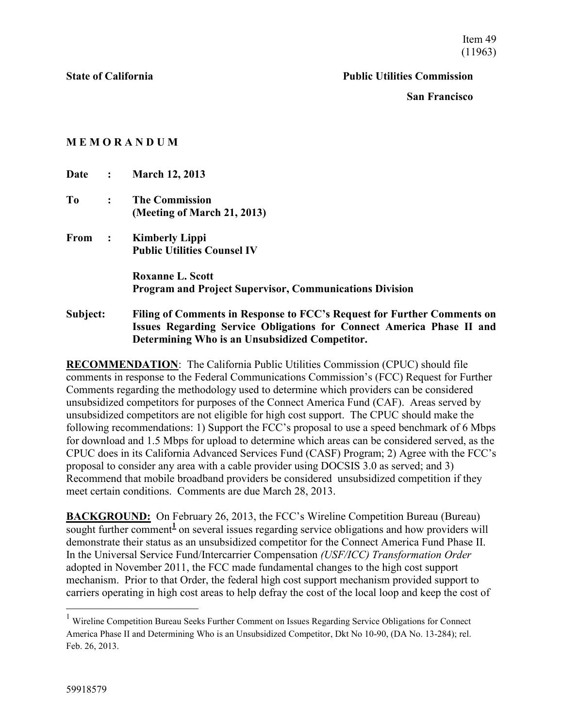Item 49 (11963)

#### **State of California Public Utilities Commission**

**San Francisco**

### **M E M O R A N D U M**

**Date : March 12, 2013 To : The Commission (Meeting of March 21, 2013) From : Kimberly Lippi Public Utilities Counsel IV Roxanne L. Scott Program and Project Supervisor, Communications Division Subject: Filing of Comments in Response to FCC's Request for Further Comments on Issues Regarding Service Obligations for Connect America Phase II and Determining Who is an Unsubsidized Competitor.** 

**RECOMMENDATION**: The California Public Utilities Commission (CPUC) should file comments in response to the Federal Communications Commission's (FCC) Request for Further Comments regarding the methodology used to determine which providers can be considered unsubsidized competitors for purposes of the Connect America Fund (CAF). Areas served by unsubsidized competitors are not eligible for high cost support. The CPUC should make the following recommendations: 1) Support the FCC's proposal to use a speed benchmark of 6 Mbps for download and 1.5 Mbps for upload to determine which areas can be considered served, as the CPUC does in its California Advanced Services Fund (CASF) Program; 2) Agree with the FCC's proposal to consider any area with a cable provider using DOCSIS 3.0 as served; and 3) Recommend that mobile broadband providers be considered unsubsidized competition if they meet certain conditions. Comments are due March 28, 2013.

**BACKGROUND:** On February 26, 2013, the FCC's Wireline Competition Bureau (Bureau) sought further comment<sup>1</sup> on several issues regarding service obligations and how providers will demonstrate their status as an unsubsidized competitor for the Connect America Fund Phase II. In the Universal Service Fund/Intercarrier Compensation *(USF/ICC) Transformation Order* adopted in November 2011, the FCC made fundamental changes to the high cost support mechanism. Prior to that Order, the federal high cost support mechanism provided support to carriers operating in high cost areas to help defray the cost of the local loop and keep the cost of

 $\overline{a}$ 

<sup>&</sup>lt;sup>1</sup> Wireline Competition Bureau Seeks Further Comment on Issues Regarding Service Obligations for Connect America Phase II and Determining Who is an Unsubsidized Competitor, Dkt No 10-90, (DA No. 13-284); rel. Feb. 26, 2013.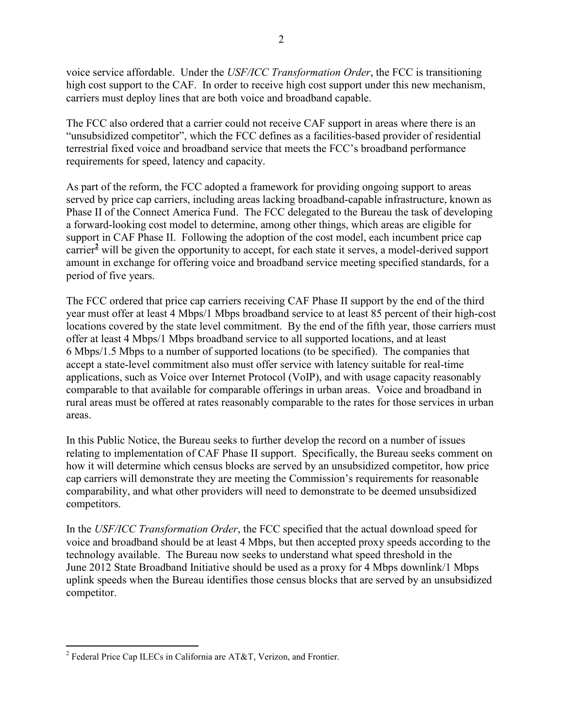voice service affordable. Under the *USF/ICC Transformation Order*, the FCC is transitioning high cost support to the CAF. In order to receive high cost support under this new mechanism, carriers must deploy lines that are both voice and broadband capable.

The FCC also ordered that a carrier could not receive CAF support in areas where there is an "unsubsidized competitor", which the FCC defines as a facilities-based provider of residential terrestrial fixed voice and broadband service that meets the FCC's broadband performance requirements for speed, latency and capacity.

As part of the reform, the FCC adopted a framework for providing ongoing support to areas served by price cap carriers, including areas lacking broadband-capable infrastructure, known as Phase II of the Connect America Fund. The FCC delegated to the Bureau the task of developing a forward-looking cost model to determine, among other things, which areas are eligible for support in CAF Phase II. Following the adoption of the cost model, each incumbent price cap carrier**<sup>2</sup>** will be given the opportunity to accept, for each state it serves, a model-derived support amount in exchange for offering voice and broadband service meeting specified standards, for a period of five years.

The FCC ordered that price cap carriers receiving CAF Phase II support by the end of the third year must offer at least 4 Mbps/1 Mbps broadband service to at least 85 percent of their high-cost locations covered by the state level commitment. By the end of the fifth year, those carriers must offer at least 4 Mbps/1 Mbps broadband service to all supported locations, and at least 6 Mbps/1.5 Mbps to a number of supported locations (to be specified). The companies that accept a state-level commitment also must offer service with latency suitable for real-time applications, such as Voice over Internet Protocol (VoIP), and with usage capacity reasonably comparable to that available for comparable offerings in urban areas. Voice and broadband in rural areas must be offered at rates reasonably comparable to the rates for those services in urban areas.

In this Public Notice, the Bureau seeks to further develop the record on a number of issues relating to implementation of CAF Phase II support. Specifically, the Bureau seeks comment on how it will determine which census blocks are served by an unsubsidized competitor, how price cap carriers will demonstrate they are meeting the Commission's requirements for reasonable comparability, and what other providers will need to demonstrate to be deemed unsubsidized competitors.

In the *USF/ICC Transformation Order*, the FCC specified that the actual download speed for voice and broadband should be at least 4 Mbps, but then accepted proxy speeds according to the technology available. The Bureau now seeks to understand what speed threshold in the June 2012 State Broadband Initiative should be used as a proxy for 4 Mbps downlink/1 Mbps uplink speeds when the Bureau identifies those census blocks that are served by an unsubsidized competitor.

 $\overline{a}$ 

<sup>&</sup>lt;sup>2</sup> Federal Price Cap ILECs in California are AT&T, Verizon, and Frontier.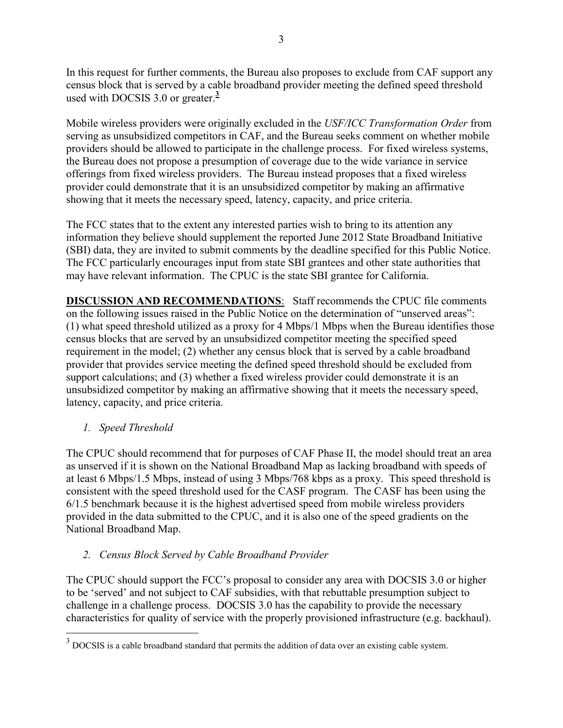In this request for further comments, the Bureau also proposes to exclude from CAF support any census block that is served by a cable broadband provider meeting the defined speed threshold used with DOCSIS 3.0 or greater. **3**

Mobile wireless providers were originally excluded in the *USF/ICC Transformation Order* from serving as unsubsidized competitors in CAF, and the Bureau seeks comment on whether mobile providers should be allowed to participate in the challenge process. For fixed wireless systems, the Bureau does not propose a presumption of coverage due to the wide variance in service offerings from fixed wireless providers. The Bureau instead proposes that a fixed wireless provider could demonstrate that it is an unsubsidized competitor by making an affirmative showing that it meets the necessary speed, latency, capacity, and price criteria.

The FCC states that to the extent any interested parties wish to bring to its attention any information they believe should supplement the reported June 2012 State Broadband Initiative (SBI) data, they are invited to submit comments by the deadline specified for this Public Notice. The FCC particularly encourages input from state SBI grantees and other state authorities that may have relevant information. The CPUC is the state SBI grantee for California.

**DISCUSSION AND RECOMMENDATIONS**: Staff recommends the CPUC file comments on the following issues raised in the Public Notice on the determination of "unserved areas": (1) what speed threshold utilized as a proxy for 4 Mbps/1 Mbps when the Bureau identifies those census blocks that are served by an unsubsidized competitor meeting the specified speed requirement in the model; (2) whether any census block that is served by a cable broadband provider that provides service meeting the defined speed threshold should be excluded from support calculations; and (3) whether a fixed wireless provider could demonstrate it is an unsubsidized competitor by making an affirmative showing that it meets the necessary speed, latency, capacity, and price criteria.

# *1. Speed Threshold*

The CPUC should recommend that for purposes of CAF Phase II, the model should treat an area as unserved if it is shown on the National Broadband Map as lacking broadband with speeds of at least 6 Mbps/1.5 Mbps, instead of using 3 Mbps/768 kbps as a proxy. This speed threshold is consistent with the speed threshold used for the CASF program. The CASF has been using the 6/1.5 benchmark because it is the highest advertised speed from mobile wireless providers provided in the data submitted to the CPUC, and it is also one of the speed gradients on the National Broadband Map.

# *2. Census Block Served by Cable Broadband Provider*

The CPUC should support the FCC's proposal to consider any area with DOCSIS 3.0 or higher to be 'served' and not subject to CAF subsidies, with that rebuttable presumption subject to challenge in a challenge process. DOCSIS 3.0 has the capability to provide the necessary characteristics for quality of service with the properly provisioned infrastructure (e.g. backhaul).

<sup>&</sup>lt;sup>3</sup> DOCSIS is a cable broadband standard that permits the addition of data over an existing cable system.